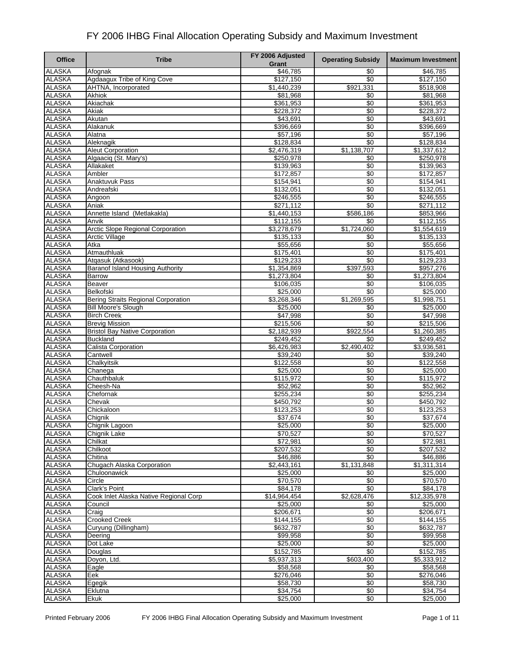| <b>Office</b>                  | <b>Tribe</b>                               | FY 2006 Adjusted        | <b>Operating Subsidy</b> | <b>Maximum Investment</b> |
|--------------------------------|--------------------------------------------|-------------------------|--------------------------|---------------------------|
| <b>ALASKA</b>                  | Afognak                                    | Grant<br>\$46,785       | \$0                      | \$46,785                  |
| <b>ALASKA</b>                  | Agdaagux Tribe of King Cove                | \$127,150               | \$0                      | \$127,150                 |
| <b>ALASKA</b>                  | AHTNA, Incorporated                        | \$1,440,239             | \$921,331                | \$518,908                 |
| <b>ALASKA</b>                  | Akhiok                                     | \$81,968                | \$0                      | \$81,968                  |
| <b>ALASKA</b>                  | Akiachak                                   | \$361,953               | \$0                      | \$361,953                 |
| <b>ALASKA</b>                  | Akiak                                      | \$228,372               | \$0                      | \$228,372                 |
| <b>ALASKA</b>                  | Akutan                                     | \$43,691                | $\overline{50}$          | \$43,691                  |
| <b>ALASKA</b>                  | Alakanuk                                   | \$396,669               | $\sqrt[6]{3}$            | \$396,669                 |
| <b>ALASKA</b>                  | Alatna                                     | \$57,196                | \$0                      | \$57,196                  |
| <b>ALASKA</b>                  | Aleknagik                                  | \$128,834               | $\overline{30}$          | \$128,834                 |
| <b>ALASKA</b>                  | <b>Aleut Corporation</b>                   | $\overline{$2,476,319}$ | \$1,138,707              | $\overline{1,337,612}$    |
| <b>ALASKA</b>                  | Algaacig (St. Mary's)                      | \$250,978               | \$0                      | \$250,978                 |
| <b>ALASKA</b>                  | Allakaket                                  | \$139,963               | \$0                      | \$139,963                 |
| <b>ALASKA</b>                  | Ambler                                     | \$172,857               | \$0                      | \$172,857                 |
| <b>ALASKA</b>                  | <b>Anaktuvuk Pass</b>                      | \$154,941               | $\overline{50}$          | \$154,941                 |
| <b>ALASKA</b>                  | Andreafski                                 | \$132,051               | \$0                      | \$132,051                 |
| <b>ALASKA</b>                  | Angoon                                     | \$246,555               | $\overline{50}$          | \$246,555                 |
| <b>ALASKA</b>                  | Aniak                                      | \$271,112               | \$0                      | \$271,112                 |
| <b>ALASKA</b>                  | Annette Island (Metlakakla)                | \$1,440,153             | \$586,186                | \$853,966                 |
| <b>ALASKA</b>                  | Anvik                                      | \$112,155               | \$0                      | \$112,155                 |
| <b>ALASKA</b>                  | Arctic Slope Regional Corporation          | \$3,278,679             | \$1,724,060              | \$1,554,619               |
| <b>ALASKA</b>                  | <b>Arctic Village</b>                      | \$135,133               | $\overline{50}$          | \$135,133                 |
| <b>ALASKA</b>                  | Atka                                       | \$55,656                | \$0                      | \$55,656                  |
| <b>ALASKA</b>                  | Atmauthluak                                | \$175,401               | $\overline{50}$          | \$175,401                 |
| <b>ALASKA</b>                  | Atqasuk (Atkasook)                         | \$129,233               | \$0                      | \$129,233                 |
| <b>ALASKA</b>                  | Baranof Island Housing Authority           | \$1,354,869             | \$397,593                | \$957,276                 |
| <b>ALASKA</b>                  | <b>Barrow</b>                              | \$1,273,804             | \$0                      | \$1,273,804               |
| <b>ALASKA</b><br><b>ALASKA</b> | Beaver<br>Belkofski                        | \$106,035               | \$0<br>$\overline{30}$   | \$106,035<br>\$25,000     |
| <b>ALASKA</b>                  | <b>Bering Straits Regional Corporation</b> | \$25,000<br>\$3,268,346 | \$1,269,595              | \$1,998,751               |
| <b>ALASKA</b>                  | <b>Bill Moore's Slough</b>                 | \$25,000                | \$0                      | \$25,000                  |
| <b>ALASKA</b>                  | <b>Birch Creek</b>                         | \$47,998                | \$0                      | \$47,998                  |
| <b>ALASKA</b>                  | <b>Brevig Mission</b>                      | \$215,506               | $\overline{50}$          | \$215,506                 |
| <b>ALASKA</b>                  | <b>Bristol Bay Native Corporation</b>      | \$2,182,939             | \$922,554                | \$1,260,385               |
| <b>ALASKA</b>                  | <b>Buckland</b>                            | \$249,452               | \$0                      | \$249,452                 |
| <b>ALASKA</b>                  | Calista Corporation                        | \$6,426,983             | \$2,490,402              | \$3,936,581               |
| <b>ALASKA</b>                  | Cantwell                                   | \$39,240                | \$0                      | \$39,240                  |
| <b>ALASKA</b>                  | Chalkyitsik                                | \$122,558               | $\overline{50}$          | \$122,558                 |
| <b>ALASKA</b>                  | Chanega                                    | \$25,000                | $\overline{50}$          | \$25,000                  |
| <b>ALASKA</b>                  | Chauthbaluk                                | \$115,972               | $\overline{50}$          | \$115,972                 |
| <b>ALASKA</b>                  | Cheesh-Na                                  | \$52,962                | \$0                      | \$52,962                  |
| <b>ALASKA</b>                  | Chefornak                                  | \$255,234               | \$0                      | \$255,234                 |
| <b>ALASKA</b>                  | Chevak                                     | \$450,792               | \$0                      | \$450,792                 |
| <b>ALASKA</b>                  | Chickaloon                                 | \$123,253               | \$0                      | \$123,253                 |
| <b>ALASKA</b>                  | Chignik                                    | \$37,674                | \$0                      | \$37,674                  |
| <b>ALASKA</b>                  | Chignik Lagoon                             | \$25,000                | \$0                      | \$25,000                  |
| <b>ALASKA</b>                  | Chignik Lake                               | \$70,527                | \$0                      | \$70,527                  |
| <b>ALASKA</b>                  | Chilkat                                    | \$72,981                | \$0                      | \$72,981                  |
| <b>ALASKA</b>                  | Chilkoot                                   | \$207,532               | $\overline{50}$          | \$207,532                 |
| <b>ALASKA</b>                  | Chitina                                    | \$46,886                | \$0                      | \$46,886                  |
| <b>ALASKA</b>                  | Chugach Alaska Corporation                 | \$2,443,161             | \$1,131,848              | \$1,311,314               |
| <b>ALASKA</b>                  | Chuloonawick                               | \$25,000                | \$0                      | \$25,000                  |
| ALASKA                         | Circle                                     | \$70,570                | \$0                      | \$70,570                  |
| <b>ALASKA</b>                  | Clark's Point                              | $\sqrt{$84,178}$        | \$0                      | \$84,178                  |
| <b>ALASKA</b>                  | Cook Inlet Alaska Native Regional Corp     | \$14,964,454            | \$2,628,476              | \$12,335,978              |
| <b>ALASKA</b>                  | Council                                    | \$25,000                | \$0                      | \$25,000                  |
| <b>ALASKA</b>                  | Craig                                      | \$206,671               | \$0                      | \$206,671                 |
| <b>ALASKA</b>                  | <b>Crooked Creek</b>                       | \$144,155               | $\sqrt{6}$               | \$144,155                 |
| <b>ALASKA</b>                  | Curyung (Dillingham)                       | \$632,787               | \$0                      | \$632,787                 |
| <b>ALASKA</b>                  | Deering                                    | \$99,958                | \$0                      | \$99,958                  |
| <b>ALASKA</b>                  | Dot Lake                                   | \$25,000                | \$0                      | \$25,000                  |
| <b>ALASKA</b>                  | Douglas                                    | \$152,785               | \$0                      | \$152,785                 |
| <b>ALASKA</b>                  | Doyon, Ltd.                                | \$5,937,313             | \$603,400                | \$5,333,912               |
| <b>ALASKA</b><br><b>ALASKA</b> | Eagle<br>Eek                               | \$58,568                | \$0<br>$\overline{50}$   | \$58,568                  |
| <b>ALASKA</b>                  |                                            | \$276,046<br>\$58,730   | \$0                      | \$276,046<br>\$58,730     |
| <b>ALASKA</b>                  | Egegik<br>Eklutna                          | \$34,754                | \$0                      | \$34,754                  |
| <b>ALASKA</b>                  | Ekuk                                       | \$25,000                | \$0                      | \$25,000                  |
|                                |                                            |                         |                          |                           |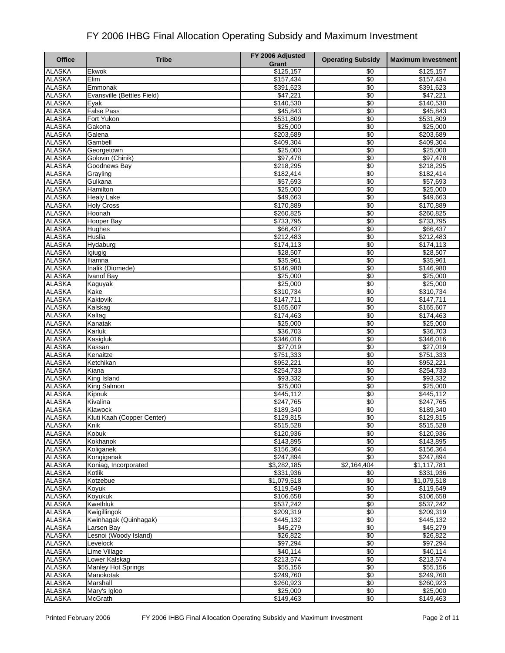| <b>Office</b>                  | <b>Tribe</b>                           | FY 2006 Adjusted<br>Grant | <b>Operating Subsidy</b> | <b>Maximum Investment</b> |
|--------------------------------|----------------------------------------|---------------------------|--------------------------|---------------------------|
| <b>ALASKA</b>                  | Ekwok                                  | \$125,157                 | \$0                      | \$125,157                 |
| <b>ALASKA</b>                  | Elim                                   | \$157,434                 | \$0                      | \$157,434                 |
| <b>ALASKA</b>                  | Emmonak                                | \$391,623                 | \$0                      | \$391,623                 |
| <b>ALASKA</b>                  | Evansville (Bettles Field)             | \$47,221                  | \$0                      | \$47,221                  |
| <b>ALASKA</b>                  | Evak                                   | \$140,530                 | \$0                      | \$140,530                 |
| <b>ALASKA</b>                  | <b>False Pass</b>                      | \$45,843                  | $\overline{50}$          | \$45,843                  |
| <b>ALASKA</b>                  | Fort Yukon                             | \$531,809                 | \$0                      | \$531,809                 |
| <b>ALASKA</b>                  | Gakona                                 | \$25,000                  | \$0                      | \$25,000                  |
| <b>ALASKA</b>                  | Galena                                 | \$203,689                 | \$0                      | \$203,689                 |
| <b>ALASKA</b>                  | Gambell                                | \$409,304                 | \$0                      | \$409,304                 |
| <b>ALASKA</b>                  | Georgetown                             | \$25,000                  | $\sqrt{6}$               | \$25,000                  |
| <b>ALASKA</b>                  | Golovin (Chinik)                       | \$97,478                  | \$0                      | \$97,478                  |
| <b>ALASKA</b>                  | Goodnews Bay                           | \$218,295                 | \$0                      | \$218,295                 |
| <b>ALASKA</b>                  | Grayling                               | \$182,414                 | $\overline{50}$          | \$182,414                 |
| <b>ALASKA</b>                  | Gulkana                                | \$57,693                  | $\sqrt[6]{3}$            | \$57,693                  |
| <b>ALASKA</b><br><b>ALASKA</b> | Hamilton                               | \$25,000<br>\$49,663      | \$0<br>\$0               | \$25,000<br>\$49,663      |
| <b>ALASKA</b>                  | <b>Healy Lake</b><br><b>Holy Cross</b> | \$170,889                 | \$0                      |                           |
| <b>ALASKA</b>                  | Hoonah                                 | \$260,825                 | \$0                      | \$170,889<br>\$260,825    |
| <b>ALASKA</b>                  | Hooper Bay                             | \$733,795                 | \$0                      | \$733,795                 |
| <b>ALASKA</b>                  | Hughes                                 | \$66,437                  | \$0                      | \$66,437                  |
| <b>ALASKA</b>                  | Huslia                                 | \$212,483                 | \$0                      | \$212,483                 |
| <b>ALASKA</b>                  | Hydaburg                               | \$174,113                 | \$0                      | \$174,113                 |
| <b>ALASKA</b>                  | Igiugig                                | \$28,507                  | \$0                      | \$28,507                  |
| <b>ALASKA</b>                  | Iliamna                                | \$35,961                  | \$0                      | \$35,961                  |
| <b>ALASKA</b>                  | Inalik (Diomede)                       | \$146,980                 | \$0                      | \$146,980                 |
| <b>ALASKA</b>                  | Ivanof Bay                             | \$25,000                  | \$0                      | \$25,000                  |
| <b>ALASKA</b>                  | Kaguyak                                | \$25,000                  | \$0                      | \$25,000                  |
| <b>ALASKA</b>                  | Kake                                   | \$310,734                 | \$0                      | \$310,734                 |
| <b>ALASKA</b>                  | Kaktovik                               | \$147,711                 | \$0                      | \$147,711                 |
| <b>ALASKA</b>                  | Kalskag                                | \$165,607                 | $\overline{50}$          | \$165,607                 |
| <b>ALASKA</b>                  | Kaltag                                 | \$174,463                 | \$0                      | \$174,463                 |
| <b>ALASKA</b>                  | Kanatak                                | \$25,000                  | \$0                      | \$25,000                  |
| <b>ALASKA</b>                  | Karluk                                 | \$36,703                  | $\overline{50}$          | \$36,703                  |
| <b>ALASKA</b>                  | Kasigluk                               | \$346,016                 | \$0                      | \$346,016                 |
| <b>ALASKA</b>                  | Kassan                                 | \$27,019                  | \$0                      | \$27,019                  |
| <b>ALASKA</b>                  | Kenaitze                               | \$751,333                 | \$0                      | \$751,333                 |
| <b>ALASKA</b>                  | Ketchikan                              | \$952,221                 | \$0                      | \$952,221                 |
| <b>ALASKA</b>                  | Kiana                                  | \$254,733                 | $\overline{50}$          | \$254,733                 |
| <b>ALASKA</b>                  | King Island                            | \$93,332                  | \$0                      | \$93,332                  |
| <b>ALASKA</b>                  | King Salmon                            | \$25,000                  | \$0                      | \$25,000                  |
| <b>ALASKA</b>                  | Kipnuk                                 | \$445,112                 | \$0                      | \$445,112                 |
| <b>ALASKA</b>                  | Kivalina                               | $\sqrt{$247,765}$         | \$0                      | \$247,765                 |
| <b>ALASKA</b>                  | Klawock                                | \$189,340                 | \$0                      | \$189,340                 |
| <b>ALASKA</b>                  | Kluti Kaah (Copper Center)             | \$129,815                 | \$0                      | \$129,815                 |
| <b>ALASKA</b>                  | Knik                                   | \$515,528                 | \$0                      | \$515,528                 |
| <b>ALASKA</b><br><b>ALASKA</b> | Kobuk<br>Kokhanok                      | \$120,936<br>\$143,895    | \$0<br>\$0               | \$120,936<br>\$143,895    |
| <b>ALASKA</b>                  | Koliganek                              | \$156,364                 | \$0                      | \$156,364                 |
| <b>ALASKA</b>                  | Kongiganak                             | \$247,894                 | \$0                      | \$247,894                 |
| <b>ALASKA</b>                  | Koniag, Incorporated                   | \$3,282,185               | \$2,164,404              | \$1,117,781               |
| <b>ALASKA</b>                  | Kotlik                                 | \$331,936                 | \$0                      | \$331,936                 |
| <b>ALASKA</b>                  | Kotzebue                               | \$1,079,518               | \$0                      | \$1,079,518               |
| <b>ALASKA</b>                  | Kovuk                                  | \$119,649                 | \$0                      | \$119,649                 |
| <b>ALASKA</b>                  | Koyukuk                                | \$106,658                 | \$0                      | \$106,658                 |
| <b>ALASKA</b>                  | Kwethluk                               | \$537,242                 | $\overline{50}$          | \$537,242                 |
| <b>ALASKA</b>                  | Kwigillingok                           | \$209,319                 | \$0                      | \$209,319                 |
| <b>ALASKA</b>                  | Kwinhagak (Quinhagak)                  | \$445,132                 | \$0                      | \$445,132                 |
| <b>ALASKA</b>                  | Larsen Bay                             | \$45,279                  | \$0                      | \$45,279                  |
| <b>ALASKA</b>                  | Lesnoi (Woody Island)                  | \$26,822                  | \$0                      | \$26,822                  |
| <b>ALASKA</b>                  | Levelock                               | \$97,294                  | $\sqrt{6}$               | \$97,294                  |
| <b>ALASKA</b>                  | Lime Village                           | \$40,114                  | \$0                      | \$40,114                  |
| <b>ALASKA</b>                  | Lower Kalskag                          | \$213,574                 | \$0                      | \$213,574                 |
| <b>ALASKA</b>                  | <b>Manley Hot Springs</b>              | \$55,156                  | \$0                      | \$55,156                  |
| <b>ALASKA</b>                  | Manokotak                              | \$249,760                 | \$0                      | \$249,760                 |
| <b>ALASKA</b>                  | Marshall                               | \$260,923                 | \$0                      | \$260,923                 |
| <b>ALASKA</b>                  | Mary's Igloo                           | \$25,000                  | \$0                      | \$25,000                  |
| <b>ALASKA</b>                  | <b>McGrath</b>                         | \$149,463                 | \$0                      | \$149,463                 |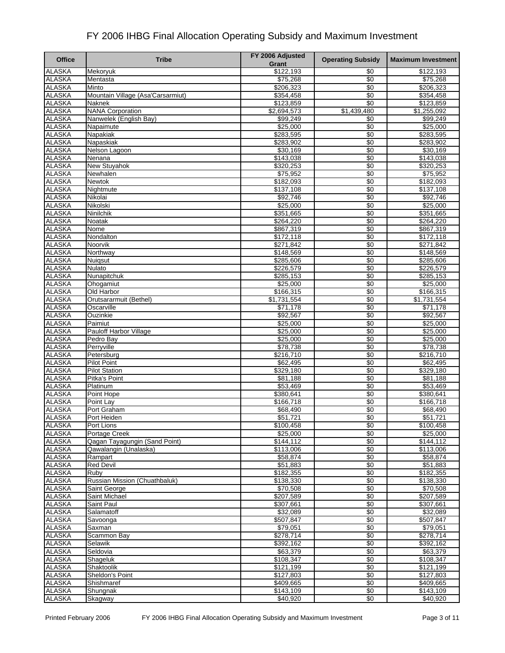| <b>Office</b>                  | <b>Tribe</b>                      | FY 2006 Adjusted<br>Grant | <b>Operating Subsidy</b> | <b>Maximum Investment</b> |
|--------------------------------|-----------------------------------|---------------------------|--------------------------|---------------------------|
| <b>ALASKA</b>                  | Mekoryuk                          | \$122,193                 | \$0                      | \$122,193                 |
| <b>ALASKA</b>                  | Mentasta                          | \$75,268                  | \$0                      | \$75,268                  |
| <b>ALASKA</b>                  | Minto                             | \$206,323                 | \$0                      | \$206,323                 |
| <b>ALASKA</b>                  | Mountain Village (Asa'Carsarmiut) | \$354,458                 | $\overline{50}$          | \$354,458                 |
| <b>ALASKA</b>                  | <b>Naknek</b>                     | \$123,859                 | \$0                      | \$123,859                 |
| <b>ALASKA</b>                  | <b>NANA Corporation</b>           | \$2,694,573               | \$1,439,480              | \$1,255,092               |
| <b>ALASKA</b>                  | Nanwelek (English Bay)            | \$99,249                  | \$0                      | \$99,249                  |
| <b>ALASKA</b>                  | Napaimute                         | \$25,000                  | \$0                      | \$25,000                  |
| <b>ALASKA</b>                  | Napakiak                          | \$283,595                 | \$0                      | \$283,595                 |
| <b>ALASKA</b>                  | Napaskiak                         | \$283,902                 | \$0                      | \$283,902                 |
| <b>ALASKA</b>                  | Nelson Lagoon                     | \$30,169                  | $\sqrt{6}$               | \$30,169                  |
| <b>ALASKA</b><br><b>ALASKA</b> | Nenana                            | \$143,038                 | \$0<br>\$0               | \$143,038                 |
| <b>ALASKA</b>                  | New Stuyahok<br>Newhalen          | \$320,253<br>\$75,952     | $\overline{50}$          | \$320,253<br>\$75,952     |
| <b>ALASKA</b>                  | Newtok                            | \$182,093                 | \$0                      | \$182,093                 |
| <b>ALASKA</b>                  | Nightmute                         | \$137,108                 | \$0                      | \$137,108                 |
| <b>ALASKA</b>                  | Nikolai                           | \$92,746                  | \$0                      | \$92,746                  |
| <b>ALASKA</b>                  | Nikolski                          | \$25,000                  | \$0                      | \$25,000                  |
| <b>ALASKA</b>                  | Ninilchik                         | \$351,665                 | \$0                      | \$351,665                 |
| <b>ALASKA</b>                  | Noatak                            | \$264,220                 | \$0                      | \$264,220                 |
| <b>ALASKA</b>                  | Nome                              | \$867,319                 | \$0                      | \$867,319                 |
| <b>ALASKA</b>                  | Nondalton                         | \$172,118                 | \$0                      | \$172,118                 |
| <b>ALASKA</b>                  | Noorvik                           | \$271,842                 | \$0                      | \$271,842                 |
| <b>ALASKA</b>                  | Northway                          | \$148,569                 | \$0                      | \$148,569                 |
| <b>ALASKA</b>                  | Nuigsut                           | \$285,606                 | \$0                      | \$285,606                 |
| <b>ALASKA</b>                  | Nulato                            | \$226,579                 | \$0                      | \$226,579                 |
| <b>ALASKA</b>                  | Nunapitchuk                       | \$285,153                 | \$0                      | \$285,153                 |
| <b>ALASKA</b>                  | Ohogamiut                         | \$25,000                  | \$0                      | \$25,000                  |
| <b>ALASKA</b>                  | Old Harbor                        | \$166,315                 | \$0                      | \$166,315                 |
| <b>ALASKA</b>                  | Orutsararmuit (Bethel)            | \$1,731,554               | \$0                      | \$1,731,554               |
| <b>ALASKA</b>                  | Oscarville                        | \$71,178                  | $\overline{50}$          | \$71,178                  |
| <b>ALASKA</b>                  | Ouzinkie                          | \$92,567                  | \$0                      | \$92,567                  |
| <b>ALASKA</b>                  | Paimiut                           | \$25,000                  | \$0                      | \$25,000                  |
| <b>ALASKA</b>                  | Pauloff Harbor Village            | \$25,000                  | $\sqrt{6}$               | \$25,000                  |
| <b>ALASKA</b><br><b>ALASKA</b> | Pedro Bay<br>Perryville           | \$25,000<br>\$78,738      | \$0<br>$\overline{50}$   | \$25,000<br>\$78,738      |
| <b>ALASKA</b>                  | Petersburg                        | \$216,710                 | \$0                      | \$216,710                 |
| <b>ALASKA</b>                  | <b>Pilot Point</b>                | \$62,495                  | \$0                      | \$62,495                  |
| <b>ALASKA</b>                  | <b>Pilot Station</b>              | \$329,180                 | $\sqrt{6}$               | \$329,180                 |
| <b>ALASKA</b>                  | Pitka's Point                     | \$81,188                  | \$0                      | \$81,188                  |
| <b>ALASKA</b>                  | Platinum                          | \$53,469                  | \$0                      | \$53,469                  |
| <b>ALASKA</b>                  | Point Hope                        | \$380,641                 | \$0                      | \$380,641                 |
| <b>ALASKA</b>                  | Point Lay                         | $\overline{$166,718}$     | \$0                      | \$166,718                 |
| <b>ALASKA</b>                  | Port Graham                       | \$68,490                  | \$0                      | \$68,490                  |
| <b>ALASKA</b>                  | Port Heiden                       | \$51,721                  | \$0                      | \$51,721                  |
| <b>ALASKA</b>                  | Port Lions                        | \$100,458                 | \$0                      | \$100,458                 |
| <b>ALASKA</b>                  | Portage Creek                     | \$25,000                  | \$0                      | \$25,000                  |
| <b>ALASKA</b>                  | Qagan Tayagungin (Sand Point)     | \$144,112                 | \$0                      | \$144,112                 |
| <b>ALASKA</b>                  | Qawalangin (Unalaska)             | \$113,006                 | \$0                      | \$113,006                 |
| <b>ALASKA</b>                  | Rampart                           | \$58,874                  | \$0                      | \$58,874                  |
| <b>ALASKA</b>                  | <b>Red Devil</b>                  | \$51,883                  | $\overline{50}$          | \$51,883                  |
| <b>ALASKA</b>                  | Ruby                              | \$182,355                 | \$0                      | \$182,355                 |
| <b>ALASKA</b>                  | Russian Mission (Chuathbaluk)     | \$138,330                 | \$0                      | \$138,330                 |
| <b>ALASKA</b><br><b>ALASKA</b> | Saint George<br>Saint Michael     | \$70,508<br>\$207,589     | \$0<br>\$0               | \$70,508<br>\$207,589     |
| <b>ALASKA</b>                  | Saint Paul                        | \$307,661                 | $\overline{50}$          | \$307,661                 |
| <b>ALASKA</b>                  | Salamatoff                        | \$32,089                  | \$0                      | \$32,089                  |
| <b>ALASKA</b>                  | Savoonga                          | \$507,847                 | $\overline{50}$          | \$507,847                 |
| <b>ALASKA</b>                  | Saxman                            | \$79,051                  | \$0                      | \$79,051                  |
| <b>ALASKA</b>                  | Scammon Bay                       | \$278,714                 | \$0                      | \$278,714                 |
| <b>ALASKA</b>                  | Selawik                           | \$392,162                 | \$0                      | \$392,162                 |
| <b>ALASKA</b>                  | Seldovia                          | \$63,379                  | \$0                      | \$63,379                  |
| <b>ALASKA</b>                  | Shageluk                          | \$108,347                 | $\sqrt{6}$               | \$108,347                 |
| <b>ALASKA</b>                  | Shaktoolik                        | \$121,199                 | \$0                      | \$121,199                 |
| <b>ALASKA</b>                  | Sheldon's Point                   | \$127,803                 | $\sqrt{6}$               | \$127,803                 |
| <b>ALASKA</b>                  | Shishmaref                        | \$409,665                 | \$0                      | \$409,665                 |
| <b>ALASKA</b>                  | Shungnak                          | \$143,109                 | \$0                      | \$143,109                 |
| <b>ALASKA</b>                  | Skagway                           | \$40,920                  | \$0                      | \$40,920                  |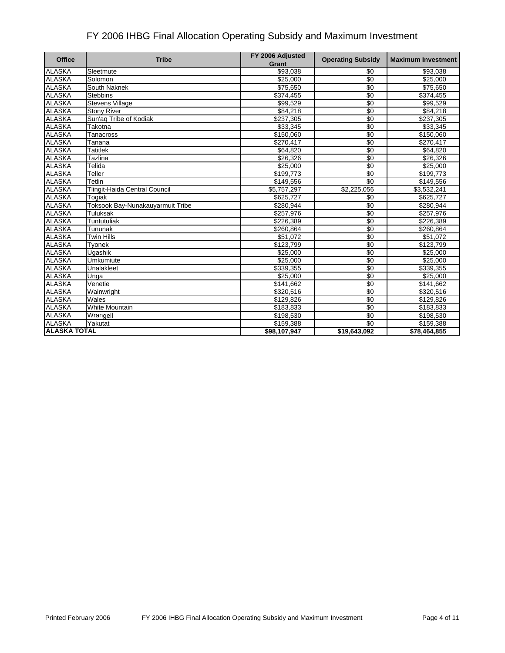| <b>Office</b>       | <b>Tribe</b>                     | FY 2006 Adjusted<br>Grant | <b>Operating Subsidy</b> | <b>Maximum Investment</b> |
|---------------------|----------------------------------|---------------------------|--------------------------|---------------------------|
| <b>ALASKA</b>       | Sleetmute                        | \$93,038                  | \$0                      | \$93,038                  |
| <b>ALASKA</b>       | Solomon                          | \$25,000                  | \$0                      | \$25,000                  |
| <b>ALASKA</b>       | South Naknek                     | \$75,650                  | \$0                      | \$75,650                  |
| <b>ALASKA</b>       | <b>Stebbins</b>                  | \$374,455                 | \$0                      | \$374,455                 |
| <b>ALASKA</b>       | <b>Stevens Village</b>           | \$99,529                  | \$0                      | \$99,529                  |
| <b>ALASKA</b>       | <b>Stony River</b>               | \$84,218                  | $\overline{50}$          | \$84,218                  |
| <b>ALASKA</b>       | Sun'aq Tribe of Kodiak           | \$237,305                 | $\overline{30}$          | \$237,305                 |
| <b>ALASKA</b>       | Takotna                          | \$33,345                  | $\overline{30}$          | \$33,345                  |
| <b>ALASKA</b>       | Tanacross                        | \$150,060                 | $\sqrt{6}$               | \$150,060                 |
| <b>ALASKA</b>       | Tanana                           | \$270,417                 | \$0                      | \$270,417                 |
| <b>ALASKA</b>       | <b>Tatitlek</b>                  | \$64,820                  | \$0                      | \$64,820                  |
| <b>ALASKA</b>       | Tazlina                          | \$26,326                  | \$0                      | \$26,326                  |
| <b>ALASKA</b>       | Telida                           | \$25,000                  | \$0                      | \$25,000                  |
| <b>ALASKA</b>       | Teller                           | \$199,773                 | \$0                      | \$199,773                 |
| <b>ALASKA</b>       | Tetlin                           | \$149,556                 | $\overline{30}$          | \$149,556                 |
| <b>ALASKA</b>       | Tlingit-Haida Central Council    | \$5,757,297               | \$2,225,056              | \$3,532,241               |
| <b>ALASKA</b>       | Togiak                           | \$625,727                 | \$0                      | \$625,727                 |
| <b>ALASKA</b>       | Toksook Bay-Nunakauyarmuit Tribe | \$280,944                 | \$0                      | \$280,944                 |
| <b>ALASKA</b>       | Tuluksak                         | \$257,976                 | \$0                      | \$257,976                 |
| <b>ALASKA</b>       | Tuntutuliak                      | \$226,389                 | \$0                      | \$226,389                 |
| <b>ALASKA</b>       | Tununak                          | \$260,864                 | $\overline{30}$          | \$260,864                 |
| <b>ALASKA</b>       | <b>Twin Hills</b>                | $\overline{$}51,072$      | $\overline{50}$          | \$51,072                  |
| <b>ALASKA</b>       | Tyonek                           | $\overline{$123,799}$     | \$0                      | \$123,799                 |
| <b>ALASKA</b>       | Ugashik                          | \$25,000                  | \$0                      | \$25,000                  |
| <b>ALASKA</b>       | Umkumiute                        | \$25,000                  | $\sqrt{6}$               | \$25,000                  |
| <b>ALASKA</b>       | Unalakleet                       | \$339,355                 | \$0                      | \$339,355                 |
| <b>ALASKA</b>       | Unga                             | \$25,000                  | $\sqrt{6}$               | \$25,000                  |
| <b>ALASKA</b>       | Venetie                          | \$141,662                 | \$0                      | \$141,662                 |
| <b>ALASKA</b>       | Wainwright                       | \$320,516                 | \$0                      | \$320,516                 |
| <b>ALASKA</b>       | Wales                            | \$129,826                 | \$0                      | \$129,826                 |
| <b>ALASKA</b>       | White Mountain                   | \$183,833                 | \$0                      | \$183,833                 |
| <b>ALASKA</b>       | Wrangell                         | \$198,530                 | \$0                      | \$198,530                 |
| <b>ALASKA</b>       | Yakutat                          | \$159,388                 | \$0                      | \$159,388                 |
| <b>ALASKA TOTAL</b> |                                  | \$98,107,947              | \$19,643,092             | \$78,464,855              |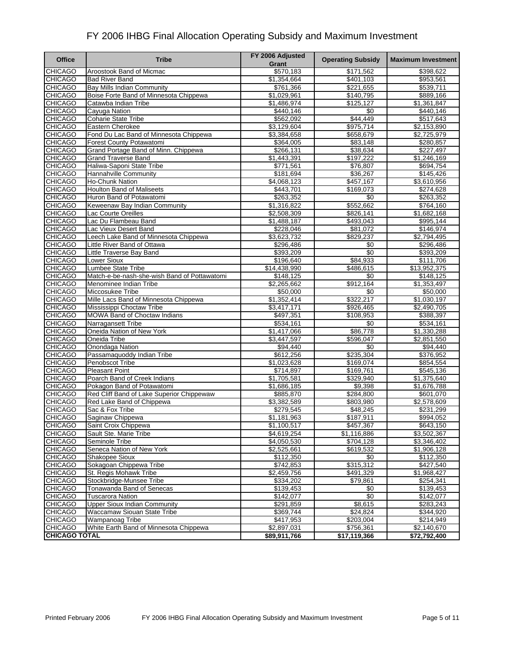| <b>Office</b>                    | <b>Tribe</b>                                  | FY 2006 Adjusted<br>Grant | <b>Operating Subsidy</b> | <b>Maximum Investment</b> |
|----------------------------------|-----------------------------------------------|---------------------------|--------------------------|---------------------------|
| <b>CHICAGO</b>                   | Aroostook Band of Micmac                      | \$570,183                 | \$171,562                | \$398,622                 |
| <b>CHICAGO</b>                   | <b>Bad River Band</b>                         | \$1,354,664               | \$401,103                | \$953,561                 |
| <b>CHICAGO</b>                   | <b>Bay Mills Indian Community</b>             | \$761,366                 | \$221,655                | \$539,711                 |
| <b>CHICAGO</b>                   | Boise Forte Band of Minnesota Chippewa        | \$1,029,961               | \$140,795                | \$889,166                 |
| <b>CHICAGO</b>                   | Catawba Indian Tribe                          | \$1,486,974               | \$125,127                | \$1,361,847               |
| <b>CHICAGO</b>                   | Cavuga Nation                                 | \$440,146                 | \$0                      | \$440,146                 |
| <b>CHICAGO</b>                   | <b>Coharie State Tribe</b>                    | \$562,092                 | \$44,449                 | \$517,643                 |
| <b>CHICAGO</b>                   | Eastern Cherokee                              | \$3,129,604               | \$975,714                | \$2,153,890               |
| <b>CHICAGO</b>                   | Fond Du Lac Band of Minnesota Chippewa        | \$3,384,658               | \$658,679                | \$2,725,979               |
| <b>CHICAGO</b>                   | Forest County Potawatomi                      | \$364,005                 | \$83,148                 | \$280,857                 |
| <b>CHICAGO</b>                   | Grand Portage Band of Minn. Chippewa          | \$266,131                 | \$38,634                 | \$227,497                 |
| <b>CHICAGO</b>                   | <b>Grand Traverse Band</b>                    | \$1,443,391               | \$197,222                | \$1,246,169               |
| <b>CHICAGO</b>                   | Haliwa-Saponi State Tribe                     | \$771,561                 | \$76,807                 | \$694,754                 |
| <b>CHICAGO</b>                   | Hannahville Community                         | \$181,694                 | \$36,267                 | \$145,426                 |
| <b>CHICAGO</b>                   | <b>Ho-Chunk Nation</b>                        | \$4,068,123               | \$457,167                | \$3,610,956               |
| <b>CHICAGO</b>                   | <b>Houlton Band of Maliseets</b>              | \$443,701                 | \$169,073                | \$274,628                 |
| <b>CHICAGO</b>                   | Huron Band of Potawatomi                      | \$263,352                 | \$0                      | \$263,352                 |
| <b>CHICAGO</b>                   | Keweenaw Bay Indian Community                 | \$1,316,822               | \$552,662                | \$764,160                 |
| <b>CHICAGO</b>                   | Lac Courte Oreilles                           | \$2,508,309               | \$826,141                | \$1,682,168               |
| <b>CHICAGO</b>                   | Lac Du Flambeau Band                          | \$1,488,187               | \$493.043                | \$995,144                 |
| <b>CHICAGO</b>                   | Lac Vieux Desert Band                         | \$228,046                 | \$81,072                 | \$146,974                 |
| <b>CHICAGO</b>                   | Leech Lake Band of Minnesota Chippewa         | \$3,623,732               | \$829,237                | \$2,794,495               |
| <b>CHICAGO</b>                   | Little River Band of Ottawa                   | \$296,486                 | \$0                      | \$296,486                 |
| <b>CHICAGO</b>                   | Little Traverse Bay Band                      | \$393,209                 | $\sqrt{6}$               | \$393,209                 |
| <b>CHICAGO</b>                   | <b>Lower Sioux</b>                            | \$196,640                 | \$84,933                 | \$111,706                 |
| <b>CHICAGO</b>                   | Lumbee State Tribe                            | \$14,438,990              | \$486,615                | \$13,952,375              |
| <b>CHICAGO</b>                   | Match-e-be-nash-she-wish Band of Pottawatomi  | \$148,125                 | \$0                      | \$148,125                 |
| <b>CHICAGO</b>                   | Menominee Indian Tribe                        | \$2,265,662               | \$912,164                | \$1,353,497               |
| <b>CHICAGO</b>                   | Miccosukee Tribe                              | \$50,000                  | \$0                      | \$50,000                  |
| <b>CHICAGO</b>                   | Mille Lacs Band of Minnesota Chippewa         | $\overline{1,352,4}14$    | \$322,217                | \$1,030,197               |
| <b>CHICAGO</b>                   | Mississippi Choctaw Tribe                     | \$3,417,171               | \$926,465                | \$2,490,705               |
| <b>CHICAGO</b>                   | <b>MOWA Band of Choctaw Indians</b>           | \$497,351                 | \$108,953                | \$388,397                 |
| <b>CHICAGO</b>                   | Narragansett Tribe                            | \$534,161                 | \$0                      | \$534,161                 |
| <b>CHICAGO</b>                   | Oneida Nation of New York<br>Oneida Tribe     | \$1,417,066               | \$86,778                 | \$1,330,288               |
| <b>CHICAGO</b>                   |                                               | \$3,447,597               | \$596,047<br>\$0         | \$2,851,550               |
| <b>CHICAGO</b><br><b>CHICAGO</b> | Onondaga Nation                               | \$94,440<br>\$612,256     | \$235,304                | \$94,440<br>\$376,952     |
| <b>CHICAGO</b>                   | Passamaquoddy Indian Tribe<br>Penobscot Tribe | $\overline{1,023,628}$    | \$169,074                | \$854,554                 |
| <b>CHICAGO</b>                   | <b>Pleasant Point</b>                         | \$714,897                 | \$169,761                | \$545,136                 |
| <b>CHICAGO</b>                   | Poarch Band of Creek Indians                  | \$1,705,581               | \$329,940                | \$1,375,640               |
| <b>CHICAGO</b>                   | Pokagon Band of Potawatomi                    | \$1,686,185               | \$9,398                  | \$1,676,788               |
| <b>CHICAGO</b>                   | Red Cliff Band of Lake Superior Chippewaw     | \$885,870                 | \$284,800                | \$601,070                 |
| <b>CHICAGO</b>                   | Red Lake Band of Chippewa                     | \$3,382,589               | \$803,980                | \$2,578,609               |
| <b>CHICAGO</b>                   | Sac & Fox Tribe                               | \$279,545                 | \$48,245                 | \$231,299                 |
| <b>CHICAGO</b>                   | Saginaw Chippewa                              | \$1,181,963               | \$187,911                | \$994,052                 |
| <b>CHICAGO</b>                   | Saint Croix Chippewa                          | \$1,100,517               | \$457,367                | \$643,150                 |
| <b>CHICAGO</b>                   | Sault Ste. Marie Tribe                        | \$4,619,254               | \$1,116,886              | \$3,502,367               |
| <b>CHICAGO</b>                   | Seminole Tribe                                | \$4,050,530               | \$704,128                | \$3,346,402               |
| <b>CHICAGO</b>                   | Seneca Nation of New York                     | \$2,525,661               | \$619,532                | \$1,906,128               |
| <b>CHICAGO</b>                   | Shakopee Sioux                                | \$112,350                 | \$0                      | \$112,350                 |
| <b>CHICAGO</b>                   | Sokagoan Chippewa Tribe                       | \$742,853                 | \$315,312                | \$427,540                 |
| <b>CHICAGO</b>                   | St. Regis Mohawk Tribe                        | \$2,459,756               | \$491,329                | \$1,968,427               |
| <b>CHICAGO</b>                   | Stockbridge-Munsee Tribe                      | \$334,202                 | \$79,861                 | \$254,341                 |
| <b>CHICAGO</b>                   | Tonawanda Band of Senecas                     | \$139,453                 | \$0                      | \$139,453                 |
| <b>CHICAGO</b>                   | <b>Tuscarora Nation</b>                       | \$142,077                 | \$0                      | \$142,077                 |
| <b>CHICAGO</b>                   | <b>Upper Sioux Indian Community</b>           | \$291,859                 | \$8,615                  | \$283,243                 |
| <b>CHICAGO</b>                   | Waccamaw Siouan State Tribe                   | \$369,744                 | \$24,824                 | \$344,920                 |
| <b>CHICAGO</b>                   | Wampanoag Tribe                               | \$417,953                 | \$203,004                | \$214,949                 |
| <b>CHICAGO</b>                   | White Earth Band of Minnesota Chippewa        | \$2,897,031               | \$756,361                | \$2,140,670               |
| <b>CHICAGO TOTAL</b>             |                                               | \$89,911,766              | \$17,119,366             | \$72,792,400              |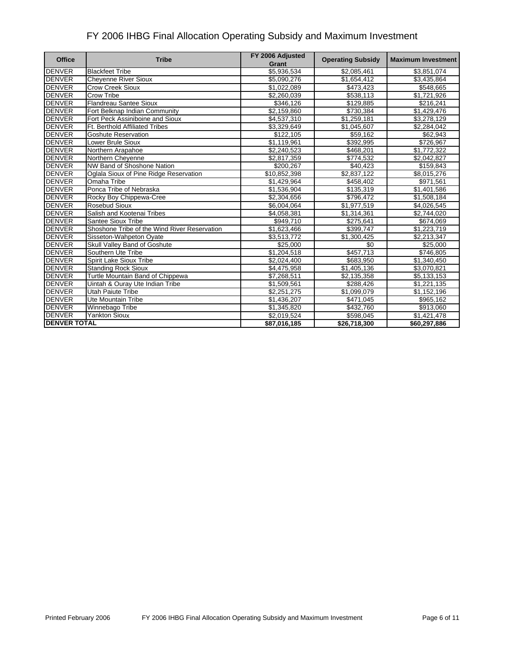| <b>Office</b>       | <b>Tribe</b>                                 | FY 2006 Adjusted<br>Grant | <b>Operating Subsidy</b> | <b>Maximum Investment</b> |
|---------------------|----------------------------------------------|---------------------------|--------------------------|---------------------------|
| <b>DENVER</b>       | <b>Blackfeet Tribe</b>                       | \$5,936,534               | \$2,085,461              | \$3,851,074               |
| <b>DENVER</b>       | <b>Cheyenne River Sioux</b>                  | \$5.090.276               | \$1,654,412              | \$3,435,864               |
| <b>DENVER</b>       | <b>Crow Creek Sioux</b>                      | \$1,022,089               | \$473,423                | \$548,665                 |
| <b>DENVER</b>       | Crow Tribe                                   | \$2,260,039               | \$538,113                | \$1,721,926               |
| <b>DENVER</b>       | <b>Flandreau Santee Sioux</b>                | \$346,126                 | \$129,885                | \$216,241                 |
| <b>DENVER</b>       | Fort Belknap Indian Community                | \$2,159,860               | \$730,384                | \$1,429,476               |
| <b>DENVER</b>       | Fort Peck Assiniboine and Sioux              | \$4,537,310               | \$1,259,181              | \$3,278,129               |
| <b>DENVER</b>       | <b>Ft. Berthold Affiliated Tribes</b>        | \$3,329,649               | \$1,045,607              | \$2,284,042               |
| <b>DENVER</b>       | <b>Goshute Reservation</b>                   | \$122,105                 | \$59,162                 | \$62,943                  |
| <b>DENVER</b>       | Lower Brule Sioux                            | $\overline{1,119,961}$    | 3392,995                 | $\frac{1}{126,967}$       |
| <b>DENVER</b>       | Northern Arapahoe                            | \$2,240,523               | \$468,201                | \$1,772,322               |
| <b>DENVER</b>       | Northern Cheyenne                            | \$2,817,359               | \$774,532                | \$2,042,827               |
| <b>DENVER</b>       | NW Band of Shoshone Nation                   | \$200,267                 | \$40,423                 | \$159,843                 |
| <b>DENVER</b>       | Oglala Sioux of Pine Ridge Reservation       | \$10,852,398              | \$2,837,122              | \$8,015,276               |
| <b>DENVER</b>       | Omaha Tribe                                  | \$1,429,964               | \$458,402                | \$971,561                 |
| <b>DENVER</b>       | Ponca Tribe of Nebraska                      | \$1,536,904               | \$135,319                | \$1,401,586               |
| <b>DENVER</b>       | Rocky Boy Chippewa-Cree                      | \$2,304,656               | \$796,472                | $\overline{31,508,184}$   |
| <b>DENVER</b>       | <b>Rosebud Sioux</b>                         | \$6,004,064               | \$1,977,519              | \$4,026,545               |
| <b>DENVER</b>       | Salish and Kootenai Tribes                   | $\overline{$4,058,381}$   | \$1,314,361              | \$2,744,020               |
| <b>DENVER</b>       | Santee Sioux Tribe                           | \$949,710                 | \$275,641                | \$674,069                 |
| <b>DENVER</b>       | Shoshone Tribe of the Wind River Reservation | \$1,623,466               | \$399,747                | \$1,223,719               |
| <b>DENVER</b>       | Sisseton-Wahpeton Oyate                      | \$3,513,772               | \$1,300,425              | \$2,213,347               |
| <b>DENVER</b>       | Skull Valley Band of Goshute                 | \$25,000                  | \$0                      | \$25,000                  |
| <b>DENVER</b>       | Southern Ute Tribe                           | \$1,204,518               | \$457,713                | \$746,805                 |
| <b>DENVER</b>       | Spirit Lake Sioux Tribe                      | \$2,024,400               | \$683,950                | \$1,340,450               |
| <b>DENVER</b>       | <b>Standing Rock Sioux</b>                   | \$4,475,958               | \$1,405,136              | \$3,070,821               |
| <b>DENVER</b>       | Turtle Mountain Band of Chippewa             | \$7,268,511               | \$2,135,358              | \$5,133,153               |
| <b>DENVER</b>       | Uintah & Ouray Ute Indian Tribe              | \$1,509,561               | \$288,426                | \$1,221,135               |
| <b>DENVER</b>       | <b>Utah Paiute Tribe</b>                     | \$2,251,275               | \$1,099,079              | \$1,152,196               |
| <b>DENVER</b>       | Ute Mountain Tribe                           | \$1,436,207               | \$471,045                | \$965,162                 |
| <b>DENVER</b>       | Winnebago Tribe                              | \$1,345,820               | \$432,760                | \$913,060                 |
| <b>DENVER</b>       | <b>Yankton Sioux</b>                         | \$2,019,524               | \$598,045                | \$1,421,478               |
| <b>DENVER TOTAL</b> |                                              | \$87,016,185              | \$26,718,300             | \$60,297.886              |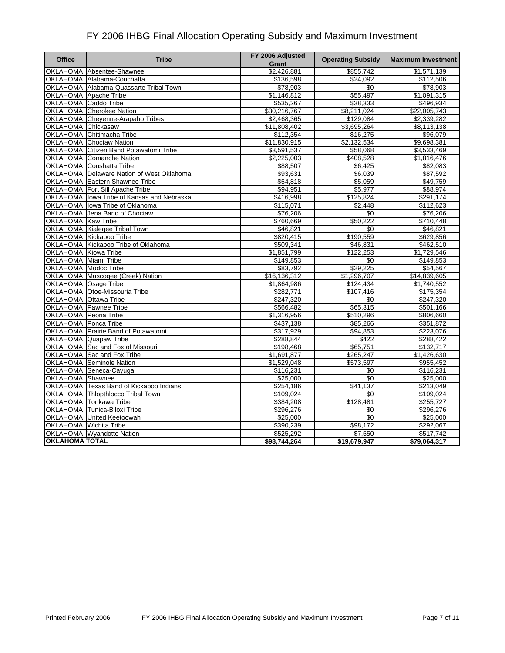| <b>Office</b>               | <b>Tribe</b>                               | FY 2006 Adjusted<br>Grant | <b>Operating Subsidy</b> | <b>Maximum Investment</b> |
|-----------------------------|--------------------------------------------|---------------------------|--------------------------|---------------------------|
|                             | OKLAHOMA Absentee-Shawnee                  | \$2,426,881               | \$855,742                | \$1,571,139               |
|                             | OKLAHOMA Alabama-Couchatta                 | \$136,598                 | \$24,092                 | \$112,506                 |
|                             | OKLAHOMA Alabama-Quassarte Tribal Town     | \$78,903                  | \$0                      | \$78,903                  |
| OKLAHOMA Apache Tribe       |                                            | \$1,146,812               | \$55,497                 | $\overline{1,091,315}$    |
| OKLAHOMA Caddo Tribe        |                                            | \$535,267                 | \$38,333                 | \$496,934                 |
|                             | OKLAHOMA Cherokee Nation                   | \$30,216,767              | \$8,211,024              | \$22,005,743              |
|                             | OKLAHOMA Cheyenne-Arapaho Tribes           | \$2,468,365               | \$129,084                | $\sqrt{2,339,282}$        |
| OKLAHOMA Chickasaw          |                                            | \$11,808,402              | \$3,695,264              | \$8,113,138               |
|                             | OKLAHOMA Chitimacha Tribe                  | \$112,354                 | \$16,275                 | \$96,079                  |
|                             | <b>OKLAHOMA</b> Choctaw Nation             | \$11,830,915              | \$2,132,534              | \$9,698,381               |
|                             | OKLAHOMA Citizen Band Potawatomi Tribe     | \$3,591,537               | \$58,068                 | \$3,533,469               |
|                             | OKLAHOMA Comanche Nation                   | \$2,225,003               | \$408,528                | \$1,816,476               |
|                             | OKLAHOMA Coushatta Tribe                   | \$88,507                  | \$6,425                  | \$82,083                  |
|                             | OKLAHOMA Delaware Nation of West Oklahoma  | \$93,631                  | \$6,039                  | \$87,592                  |
|                             | <b>OKLAHOMA</b> Eastern Shawnee Tribe      | \$54,818                  | \$5,059                  | \$49,759                  |
|                             | <b>OKLAHOMA Fort Sill Apache Tribe</b>     | \$94,951                  | \$5,977                  | \$88,974                  |
|                             | OKLAHOMA lowa Tribe of Kansas and Nebraska | \$416,998                 | \$125,824                | \$291,174                 |
|                             | OKLAHOMA lowa Tribe of Oklahoma            | \$115,071                 | \$2,448                  | \$112,623                 |
|                             | OKLAHOMA Jena Band of Choctaw              | \$76,206                  | $\sqrt{50}$              | \$76,206                  |
| OKLAHOMA Kaw Tribe          |                                            | \$760,669                 | \$50,222                 | \$710,448                 |
|                             | OKLAHOMA Kialegee Tribal Town              | \$46,821                  | \$0                      | \$46,821                  |
|                             | OKLAHOMA Kickapoo Tribe                    | \$820,415                 | \$190,559                | \$629,856                 |
|                             | OKLAHOMA Kickapoo Tribe of Oklahoma        | \$509,341                 | \$46,831                 | \$462,510                 |
| <b>OKLAHOMA</b> Kiowa Tribe |                                            | \$1,851,799               | \$122,253                | \$1,729,546               |
| OKLAHOMA Miami Tribe        |                                            | \$149,853                 | \$0                      | \$149,853                 |
| OKLAHOMA Modoc Tribe        |                                            | \$83,792                  | \$29,225                 | \$54,567                  |
|                             | OKLAHOMA Muscogee (Creek) Nation           | \$16, 136, 312            | \$1,296,707              | \$14,839,605              |
| OKLAHOMA Osage Tribe        |                                            | \$1,864,986               | \$124,434                | \$1,740,552               |
|                             | OKLAHOMA Otoe-Missouria Tribe              | \$282,771                 | \$107,416                | \$175,354                 |
| OKLAHOMA Ottawa Tribe       |                                            | \$247,320                 | \$0                      | \$247,320                 |
|                             | <b>OKLAHOMA</b> Pawnee Tribe               | \$566,482                 | \$65,315                 | \$501,166                 |
| OKLAHOMA Peoria Tribe       |                                            | \$1,316,956               | \$510,296                | \$806,660                 |
| <b>OKLAHOMA</b> Ponca Tribe |                                            | \$437,138                 | \$85,266                 | \$351,872                 |
|                             | OKLAHOMA Prairie Band of Potawatomi        | \$317,929                 | \$94,853                 | \$223,076                 |
|                             | OKLAHOMA Quapaw Tribe                      | \$288,844                 | \$422                    | \$288,422                 |
|                             | OKLAHOMA Sac and Fox of Missouri           | \$198,468                 | \$65,751                 | \$132,717                 |
|                             | OKLAHOMA Sac and Fox Tribe                 | $\overline{$1,691,877}$   | \$265,247                | \$1,426,630               |
|                             | <b>OKLAHOMA</b> Seminole Nation            | \$1,529,048               | \$573,597                | \$955,452                 |
|                             | OKLAHOMA Seneca-Cayuga                     | \$116,231                 | \$0                      | \$116,231                 |
| OKLAHOMA Shawnee            |                                            | \$25,000                  | \$0                      | \$25,000                  |
|                             | OKLAHOMA Texas Band of Kickapoo Indians    | \$254,186                 | \$41,137                 | \$213,049                 |
|                             | OKLAHOMA Thlopthlocco Tribal Town          | \$109,024                 | \$0                      | \$109,024                 |
|                             | OKLAHOMA Tonkawa Tribe                     | \$384,208                 | \$128,481                | \$255,727                 |
|                             | OKLAHOMA Tunica-Biloxi Tribe               | \$296,276                 | \$0                      | \$296,276                 |
|                             | OKLAHOMA United Keetoowah                  | \$25,000                  | \$0                      | \$25,000                  |
| OKLAHOMA Wichita Tribe      |                                            | \$390,239                 | \$98,172                 | \$292,067                 |
|                             | <b>OKLAHOMA</b> Wyandotte Nation           | \$525,292                 | \$7,550                  | \$517,742                 |
| <b>OKLAHOMA TOTAL</b>       |                                            | \$98,744,264              | \$19,679,947             | \$79,064,317              |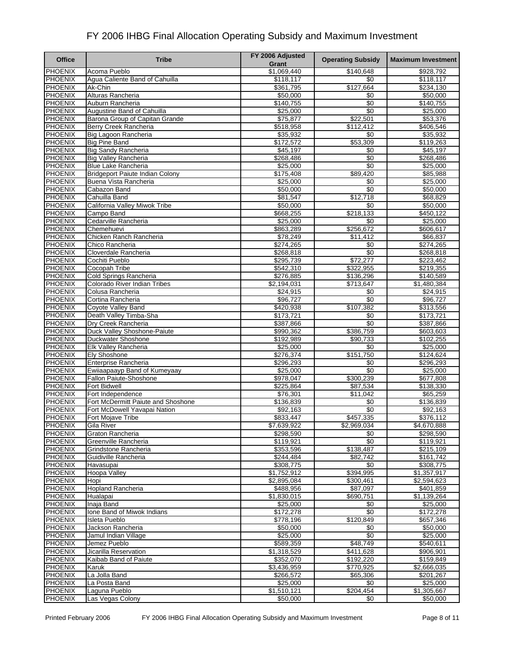| <b>Office</b>                    | <b>Tribe</b>                                         | FY 2006 Adjusted         | <b>Operating Subsidy</b> | <b>Maximum Investment</b> |
|----------------------------------|------------------------------------------------------|--------------------------|--------------------------|---------------------------|
|                                  |                                                      | Grant                    |                          |                           |
| <b>PHOENIX</b>                   | Acoma Pueblo                                         | \$1,069,440              | \$140,648                | \$928,792                 |
| PHOENIX                          | Agua Caliente Band of Cahuilla                       | \$118,117                | \$0                      | \$118,117                 |
| <b>PHOENIX</b>                   | Ak-Chin                                              | \$361,795                | \$127,664                | \$234,130                 |
| <b>PHOENIX</b><br>PHOENIX        | Alturas Rancheria<br>Auburn Rancheria                | \$50,000                 | \$0<br>\$0               | \$50,000<br>\$140,755     |
| <b>PHOENIX</b>                   | Augustine Band of Cahuilla                           | \$140,755<br>\$25,000    | $\overline{50}$          | \$25,000                  |
| PHOENIX                          | Barona Group of Capitan Grande                       | \$75,877                 | \$22,501                 | \$53,376                  |
| <b>PHOENIX</b>                   | Berry Creek Rancheria                                | \$518,958                | \$112,412                | \$406,546                 |
| <b>PHOENIX</b>                   | Big Lagoon Rancheria                                 | \$35,932                 | \$0                      | \$35,932                  |
| <b>PHOENIX</b>                   | <b>Big Pine Band</b>                                 | \$172,572                | \$53,309                 | \$119,263                 |
| PHOENIX                          | <b>Big Sandy Rancheria</b>                           | \$45,197                 | \$0                      | \$45,197                  |
| PHOENIX                          | <b>Big Valley Rancheria</b>                          | \$268,486                | \$0                      | \$268,486                 |
| <b>PHOENIX</b>                   | <b>Blue Lake Rancheria</b>                           | \$25,000                 | \$0                      | \$25,000                  |
| PHOENIX                          | <b>Bridgeport Paiute Indian Colony</b>               | \$175,408                | \$89,420                 | \$85,988                  |
| <b>PHOENIX</b>                   | Buena Vista Rancheria                                | \$25,000                 | $\overline{50}$          | \$25,000                  |
| PHOENIX                          | Cabazon Band                                         | \$50,000                 | \$0                      | \$50,000                  |
| <b>PHOENIX</b>                   | Cahuilla Band                                        | \$81,547                 | \$12,718                 | \$68,829                  |
| <b>PHOENIX</b>                   | California Valley Miwok Tribe                        | \$50,000                 | \$0                      | \$50,000                  |
| PHOENIX                          | Campo Band                                           | \$668,255                | \$218,133                | \$450,122                 |
| <b>PHOENIX</b>                   | Cedarville Rancheria                                 | \$25,000                 | \$0                      | \$25,000                  |
| <b>PHOENIX</b><br><b>PHOENIX</b> | Chemehuevi<br>Chicken Ranch Rancheria                | \$863,289<br>\$78,249    | \$256,672<br>\$11,412    | \$606,617                 |
| <b>PHOENIX</b>                   | Chico Rancheria                                      | \$274,265                | \$0                      | \$66,837<br>\$274,265     |
| <b>PHOENIX</b>                   | Cloverdale Rancheria                                 | \$268,818                | $\overline{50}$          | \$268,818                 |
| <b>PHOENIX</b>                   | Cochiti Pueblo                                       | \$295,739                | \$72,277                 | \$223,462                 |
| PHOENIX                          | <b>Cocopah Tribe</b>                                 | \$542,310                | \$322,955                | \$219,355                 |
| PHOENIX                          | Cold Springs Rancheria                               | \$276,885                | \$136,296                | \$140,589                 |
| <b>PHOENIX</b>                   | Colorado River Indian Tribes                         | \$2,194,031              | \$713,647                | $\overline{1,480,384}$    |
| PHOENIX                          | Colusa Rancheria                                     | \$24,915                 | \$0                      | \$24,915                  |
| PHOENIX                          | Cortina Rancheria                                    | \$96,727                 | \$0                      | \$96,727                  |
| PHOENIX                          | Coyote Valley Band                                   | \$420,938                | \$107,382                | \$313,556                 |
| <b>PHOENIX</b>                   | Death Valley Timba-Sha                               | \$173,721                | \$0                      | \$173,721                 |
| <b>PHOENIX</b>                   | Dry Creek Rancheria                                  | \$387,866                | $\overline{50}$          | \$387,866                 |
| PHOENIX                          | Duck Valley Shoshone-Paiute                          | \$990,362                | \$386,759                | \$603,603                 |
| <b>PHOENIX</b>                   | Duckwater Shoshone                                   | \$192,989                | \$90,733                 | \$102,255                 |
| PHOENIX                          | <b>Elk Valley Rancheria</b>                          | \$25,000                 | \$0                      | \$25,000                  |
| <b>PHOENIX</b>                   | <b>Ely Shoshone</b>                                  | \$276,374                | \$151,750                | \$124,624                 |
| PHOENIX<br>PHOENIX               | Enterprise Rancheria<br>Ewijaapaayp Band of Kumeyaay | \$296,293<br>\$25,000    | \$0<br>$\sqrt{6}$        | \$296,293<br>\$25,000     |
| <b>PHOENIX</b>                   | Fallon Paiute-Shoshone                               | \$978,047                | \$300,239                | \$677,808                 |
| PHOENIX                          | <b>Fort Bidwell</b>                                  | \$225,864                | \$87,534                 | \$138,330                 |
| <b>PHOENIX</b>                   | Fort Independence                                    | \$76,301                 | \$11,042                 | \$65,259                  |
| <b>PHOENIX</b>                   | Fort McDermitt Paiute and Shoshone                   | \$136,839                | \$0                      | \$136,839                 |
| PHOENIX                          | Fort McDowell Yavapai Nation                         | \$92,163                 | \$0                      | \$92,163                  |
| <b>PHOENIX</b>                   | <b>Fort Mojave Tribe</b>                             | \$833,447                | \$457,335                | \$376,112                 |
| <b>PHOENIX</b>                   | Gila River                                           | \$7,639,922              | \$2,969,034              | \$4,670,888               |
| <b>PHOENIX</b>                   | Graton Rancheria                                     | \$298,590                | \$0                      | \$298,590                 |
| <b>PHOENIX</b>                   | Greenville Rancheria                                 | \$119,921                | \$0                      | \$119,921                 |
| <b>PHOENIX</b>                   | Grindstone Rancheria                                 | \$353,596                | \$138,487                | \$215,109                 |
| <b>PHOENIX</b>                   | Guidiville Rancheria                                 | \$244,484                | \$82,742                 | \$161,742                 |
| <b>PHOENIX</b>                   | Havasupai                                            | \$308,775                | \$0                      | \$308,775                 |
| <b>PHOENIX</b>                   | Hoopa Valley                                         | \$1,752,912              | \$394,995                | \$1,357,917               |
| PHOENIX                          | Hopi                                                 | \$2,895,084              | \$300,461<br>\$87.097    | \$2,594,623               |
| <b>PHOENIX</b><br>PHOENIX        | <b>Hopland Rancheria</b><br>Hualapai                 | \$488,956<br>\$1,830,015 | \$690,751                | \$401,859<br>\$1,139,264  |
| <b>PHOENIX</b>                   | Inaja Band                                           | \$25,000                 | \$0                      | \$25,000                  |
| <b>PHOENIX</b>                   | Ione Band of Miwok Indians                           | \$172,278                | \$0                      | \$172,278                 |
| PHOENIX                          | Isleta Pueblo                                        | \$778,196                | \$120,849                | \$657,346                 |
| <b>PHOENIX</b>                   | Jackson Rancheria                                    | \$50,000                 | \$0                      | \$50,000                  |
| <b>PHOENIX</b>                   | Jamul Indian Village                                 | \$25,000                 | \$0                      | \$25,000                  |
| PHOENIX                          | Jemez Pueblo                                         | \$589,359                | \$48,749                 | \$540,611                 |
| PHOENIX                          | Jicarilla Reservation                                | \$1,318,529              | \$411,628                | \$906,901                 |
| <b>PHOENIX</b>                   | Kaibab Band of Paiute                                | \$352,070                | \$192,220                | \$159,849                 |
| <b>PHOENIX</b>                   | Karuk                                                | \$3,436,959              | \$770,925                | \$2,666,035               |
| <b>PHOENIX</b>                   | La Jolla Band                                        | \$266,572                | \$65,306                 | \$201,267                 |
| PHOENIX                          | La Posta Band                                        | \$25,000                 | \$0                      | \$25,000                  |
| <b>PHOENIX</b>                   | Laguna Pueblo                                        | \$1,510,121              | \$204,454                | \$1,305,667               |
| <b>PHOENIX</b>                   | Las Vegas Colony                                     | \$50,000                 | \$0                      | \$50,000                  |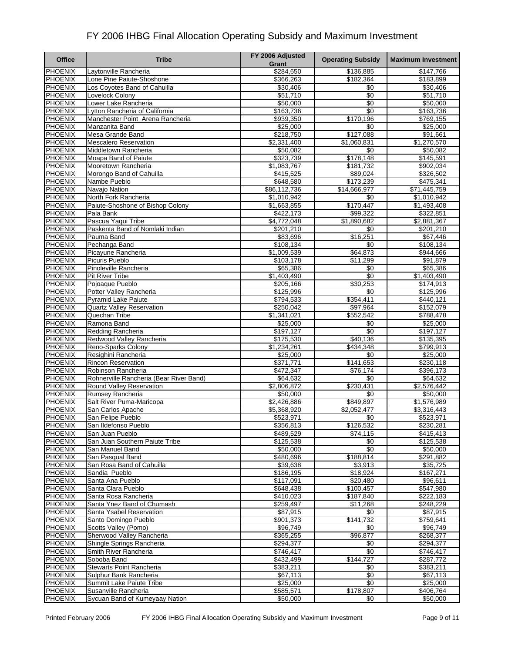| <b>Office</b>                    | <b>Tribe</b>                                         | FY 2006 Adjusted       | <b>Operating Subsidy</b> | <b>Maximum Investment</b> |
|----------------------------------|------------------------------------------------------|------------------------|--------------------------|---------------------------|
|                                  |                                                      | Grant                  |                          |                           |
| <b>PHOENIX</b>                   | Laytonville Rancheria                                | \$284,650              | \$136,885                | \$147,766                 |
| PHOENIX                          | Lone Pine Paiute-Shoshone                            | \$366,263              | \$182,364                | \$183,899                 |
| PHOENIX                          | Los Coyotes Band of Cahuilla                         | \$30,406               | \$0                      | \$30,406                  |
| <b>PHOENIX</b>                   | Lovelock Colony                                      | \$51,710               | \$0                      | \$51,710                  |
| <b>PHOENIX</b>                   | Lower Lake Rancheria                                 | \$50,000               | \$0                      | \$50,000                  |
| <b>PHOENIX</b>                   | Lytton Rancheria of California                       | \$163,736              | \$0                      | \$163,736                 |
| PHOENIX                          | Manchester Point Arena Rancheria                     | \$939,350              | \$170,196                | \$769,155                 |
| <b>PHOENIX</b>                   | Manzanita Band                                       | \$25,000               | \$0                      | \$25,000                  |
| <b>PHOENIX</b><br><b>PHOENIX</b> | Mesa Grande Band                                     | \$218,750              | \$127,088<br>\$1.060.831 | \$91,661                  |
|                                  | <b>Mescalero Reservation</b><br>Middletown Rancheria | \$2,331,400            |                          | \$1,270,570               |
| PHOENIX<br><b>PHOENIX</b>        | Moapa Band of Paiute                                 | \$50,082<br>\$323,739  | \$0<br>\$178,148         | \$50,082<br>\$145,591     |
| <b>PHOENIX</b>                   | Mooretown Rancheria                                  | \$1,083,767            | \$181,732                | \$902,034                 |
| PHOENIX                          | Morongo Band of Cahuilla                             | \$415,525              | \$89,024                 | \$326,502                 |
| <b>PHOENIX</b>                   | Nambe Pueblo                                         | \$648,580              | \$173,239                | \$475,341                 |
| <b>PHOENIX</b>                   | Navajo Nation                                        | \$86,112,736           | \$14,666,977             | \$71,445,759              |
| <b>PHOENIX</b>                   | North Fork Rancheria                                 | \$1,010,942            | \$0                      | \$1,010,942               |
| PHOENIX                          | Paiute-Shoshone of Bishop Colony                     | \$1,663,855            | \$170,447                | \$1,493,408               |
| PHOENIX                          | Pala Bank                                            | \$422,173              | \$99,322                 | \$322,851                 |
| <b>PHOENIX</b>                   | Pascua Yaqui Tribe                                   | \$4,772,048            | \$1,890,682              | \$2,881,367               |
| <b>PHOENIX</b>                   | Paskenta Band of Nomlaki Indian                      | \$201,210              | \$0                      | \$201,210                 |
| <b>PHOENIX</b>                   | Pauma Band                                           | \$83,696               | \$16,251                 | \$67,446                  |
| <b>PHOENIX</b>                   | Pechanga Band                                        | \$108,134              | \$0                      | \$108,134                 |
| <b>PHOENIX</b>                   | Picayune Rancheria                                   | \$1,009,539            | \$64,873                 | \$944,666                 |
| <b>PHOENIX</b>                   | Picuris Pueblo                                       | \$103,178              | \$11,299                 | \$91,879                  |
| <b>PHOENIX</b>                   | Pinoleville Rancheria                                | \$65,386               | \$0                      | \$65,386                  |
| PHOENIX                          | <b>Pit River Tribe</b>                               | \$1,403,490            | \$0                      | \$1,403,490               |
| PHOENIX                          | Pojoaque Pueblo                                      | \$205,166              | \$30,253                 | \$174,913                 |
| PHOENIX                          | Potter Valley Rancheria                              | \$125,996              | \$0                      | \$125,996                 |
| PHOENIX                          | <b>Pyramid Lake Paiute</b>                           | \$794,533              | \$354,411                | \$440,121                 |
| <b>PHOENIX</b>                   | <b>Quartz Valley Reservation</b>                     | \$250,042              | \$97,964                 | \$152,079                 |
| <b>PHOENIX</b>                   | Quechan Tribe                                        | \$1,341,021            | \$552,542                | \$788,478                 |
| PHOENIX                          | Ramona Band                                          | \$25,000               | \$0                      | \$25,000                  |
| <b>PHOENIX</b>                   | Redding Rancheria                                    | \$197,127              | \$0                      | \$197,127                 |
| PHOENIX                          | Redwood Valley Rancheria                             | \$175,530              | \$40,136                 | \$135,395                 |
| PHOENIX                          | Reno-Sparks Colony                                   | \$1,234,261            | \$434,348                | \$799,913                 |
| PHOENIX                          | Resighini Rancheria                                  | \$25,000               | \$0                      | \$25,000                  |
| PHOENIX                          | <b>Rincon Reservation</b>                            | \$371,771              | \$141,653                | \$230,118                 |
| PHOENIX                          | Robinson Rancheria                                   | \$472,347              | \$76,174                 | \$396,173                 |
| PHOENIX                          | Rohnerville Rancheria (Bear River Band)              | \$64,632               | \$0                      | \$64,632                  |
| PHOENIX                          | Round Valley Reservation                             | \$2,806,872            | \$230,431                | \$2,576,442               |
| <b>PHOENIX</b>                   | Rumsey Rancheria                                     | \$50,000               | $\frac{1}{20}$           | \$50,000                  |
| <b>PHOENIX</b><br>PHOENIX        | Salt River Puma-Maricopa                             | \$2,426,886            | \$849,897                | \$1,576,989               |
| <b>PHOENIX</b>                   | San Carlos Apache<br>San Felipe Pueblo               | \$5,368,920            | \$2,052,477<br>\$0       | \$3,316,443<br>\$523,971  |
| <b>PHOENIX</b>                   | San Ildefonso Pueblo                                 | \$523,971<br>\$356,813 | \$126,532                | \$230,281                 |
| <b>PHOENIX</b>                   | San Juan Pueblo                                      | \$489,529              | \$74,115                 | \$415,413                 |
| <b>PHOENIX</b>                   | San Juan Southern Paiute Tribe                       | \$125,538              | \$0                      | \$125,538                 |
| <b>PHOENIX</b>                   | San Manuel Band                                      | \$50,000               | \$0                      | \$50,000                  |
| <b>PHOENIX</b>                   | San Pasqual Band                                     | \$480,696              | \$188,814                | \$291,882                 |
| <b>PHOENIX</b>                   | San Rosa Band of Cahuilla                            | \$39,638               | \$3,913                  | \$35,725                  |
| <b>PHOENIX</b>                   | Sandia Pueblo                                        | \$186,195              | \$18,924                 | \$167,271                 |
| <b>PHOENIX</b>                   | Santa Ana Pueblo                                     | \$117,091              | \$20,480                 | \$96,611                  |
| <b>PHOENIX</b>                   | Santa Clara Pueblo                                   | \$648,438              | \$100,457                | \$547,980                 |
| <b>PHOENIX</b>                   | Santa Rosa Rancheria                                 | \$410,023              | \$187,840                | \$222,183                 |
| <b>PHOENIX</b>                   | Santa Ynez Band of Chumash                           | \$259,497              | \$11,268                 | \$248,229                 |
| <b>PHOENIX</b>                   | Santa Ysabel Reservation                             | \$87,915               | \$0                      | \$87,915                  |
| PHOENIX                          | Santo Domingo Pueblo                                 | \$901,373              | \$141,732                | \$759,641                 |
| <b>PHOENIX</b>                   | Scotts Valley (Pomo)                                 | \$96,749               | \$0                      | \$96,749                  |
| <b>PHOENIX</b>                   | Sherwood Valley Rancheria                            | \$365,255              | \$96,877                 | \$268,377                 |
| <b>PHOENIX</b>                   | Shingle Springs Rancheria                            | \$294,377              | \$0                      | \$294,377                 |
| PHOENIX                          | Smith River Rancheria                                | \$746,417              | \$0                      | \$746,417                 |
| <b>PHOENIX</b>                   | Soboba Band                                          | \$432,499              | \$144,727                | \$287,772                 |
| <b>PHOENIX</b>                   | <b>Stewarts Point Rancheria</b>                      | \$383,211              | \$0                      | \$383,211                 |
| <b>PHOENIX</b>                   | Sulphur Bank Rancheria                               | \$67,113               | $\overline{50}$          | \$67,113                  |
| <b>PHOENIX</b>                   | Summit Lake Paiute Tribe                             | \$25,000               | \$0                      | \$25,000                  |
| <b>PHOENIX</b>                   | Susanville Rancheria                                 | \$585,571              | \$178,807                | \$406,764                 |
| <b>PHOENIX</b>                   | Sycuan Band of Kumeyaay Nation                       | \$50,000               | \$0                      | \$50,000                  |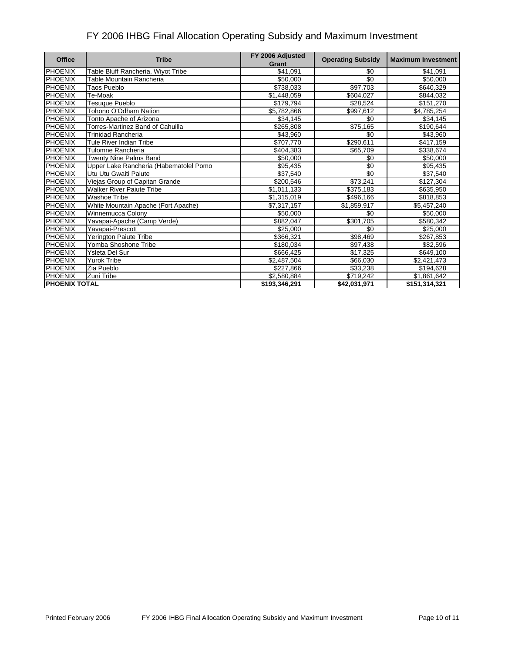| <b>Office</b>        | <b>Tribe</b>                           | FY 2006 Adjusted<br>Grant | <b>Operating Subsidy</b> | <b>Maximum Investment</b> |
|----------------------|----------------------------------------|---------------------------|--------------------------|---------------------------|
| <b>PHOENIX</b>       | Table Bluff Rancheria, Wiyot Tribe     | \$41,091                  | \$0                      | \$41,091                  |
| <b>PHOENIX</b>       | Table Mountain Rancheria               | \$50,000                  | \$0                      | \$50,000                  |
| <b>PHOENIX</b>       | Taos Pueblo                            | \$738,033                 | \$97,703                 | \$640,329                 |
| <b>PHOENIX</b>       | Te-Moak                                | \$1,448,059               | \$604,027                | \$844,032                 |
| <b>PHOENIX</b>       | Tesuque Pueblo                         | \$179,794                 | \$28,524                 | \$151,270                 |
| <b>PHOENIX</b>       | Tohono O'Odham Nation                  | \$5,782,866               | \$997,612                | \$4,785,254               |
| <b>PHOENIX</b>       | Tonto Apache of Arizona                | \$34,145                  | \$0                      | \$34,145                  |
| <b>PHOENIX</b>       | Torres-Martinez Band of Cahuilla       | \$265,808                 | \$75,165                 | \$190,644                 |
| <b>PHOENIX</b>       | <b>Trinidad Rancheria</b>              | \$43,960                  | \$0                      | \$43,960                  |
| <b>PHOENIX</b>       | Tule River Indian Tribe                | \$707,770                 | \$290,611                | \$417,159                 |
| <b>PHOENIX</b>       | Tulomne Rancheria                      | \$404.383                 | \$65,709                 | \$338,674                 |
| <b>PHOENIX</b>       | Twenty Nine Palms Band                 | \$50,000                  | \$0                      | \$50,000                  |
| <b>PHOENIX</b>       | Upper Lake Rancheria (Habematolel Pomo | \$95,435                  | \$0                      | \$95,435                  |
| <b>PHOENIX</b>       | Utu Utu Gwaiti Paiute                  | \$37,540                  | \$0                      | \$37,540                  |
| PHOENIX              | Viejas Group of Capitan Grande         | \$200,546                 | \$73,241                 | \$127,304                 |
| <b>PHOENIX</b>       | <b>Walker River Paiute Tribe</b>       | \$1,011,133               | \$375,183                | \$635,950                 |
| <b>PHOENIX</b>       | <b>Washoe Tribe</b>                    | \$1,315,019               | \$496,166                | \$818,853                 |
| <b>PHOENIX</b>       | White Mountain Apache (Fort Apache)    | \$7,317,157               | \$1,859,917              | \$5,457,240               |
| <b>PHOENIX</b>       | Winnemucca Colony                      | \$50,000                  | \$0                      | \$50,000                  |
| PHOENIX              | Yavapai-Apache (Camp Verde)            | \$882,047                 | \$301,705                | \$580,342                 |
| <b>PHOENIX</b>       | Yavapai-Prescott                       | \$25,000                  | \$0                      | \$25,000                  |
| <b>PHOENIX</b>       | Yerington Paiute Tribe                 | \$366,321                 | \$98,469                 | \$267,853                 |
| <b>PHOENIX</b>       | Yomba Shoshone Tribe                   | \$180,034                 | \$97,438                 | \$82,596                  |
| <b>PHOENIX</b>       | Ysleta Del Sur                         | \$666,425                 | \$17,325                 | \$649,100                 |
| <b>PHOENIX</b>       | <b>Yurok Tribe</b>                     | \$2,487,504               | \$66,030                 | \$2,421,473               |
| <b>PHOENIX</b>       | Zia Pueblo                             | \$227,866                 | \$33,238                 | \$194,628                 |
| <b>PHOENIX</b>       | Zuni Tribe                             | \$2,580,884               | \$719,242                | \$1,861,642               |
| <b>PHOENIX TOTAL</b> |                                        | \$193,346,291             | \$42,031,971             | \$151,314,321             |